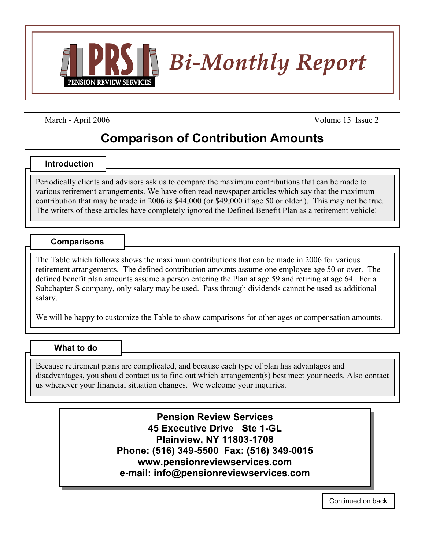

March - April 2006 Volume 15 Issue 2

## **Comparison of Contribution Amounts**

## **Introduction**

Periodically clients and advisors ask us to compare the maximum contributions that can be made to various retirement arrangements. We have often read newspaper articles which say that the maximum contribution that may be made in 2006 is \$44,000 (or \$49,000 if age 50 or older ). This may not be true. The writers of these articles have completely ignored the Defined Benefit Plan as a retirement vehicle!

## **Comparisons**

The Table which follows shows the maximum contributions that can be made in 2006 for various retirement arrangements. The defined contribution amounts assume one employee age 50 or over. The defined benefit plan amounts assume a person entering the Plan at age 59 and retiring at age 64. For a Subchapter S company, only salary may be used. Pass through dividends cannot be used as additional salary.

We will be happy to customize the Table to show comparisons for other ages or compensation amounts.

## **What to do**

Because retirement plans are complicated, and because each type of plan has advantages and disadvantages, you should contact us to find out which arrangement(s) best meet your needs. Also contact us whenever your financial situation changes. We welcome your inquiries.

> **Pension Review Services 45 Executive Drive Ste 1-GL Plainview, NY 11803-1708 Phone: (516) 349-5500 Fax: (516) 349-0015 www.pensionreviewservices.com e-mail: info@pensionreviewservices.com**

> > Continued on back